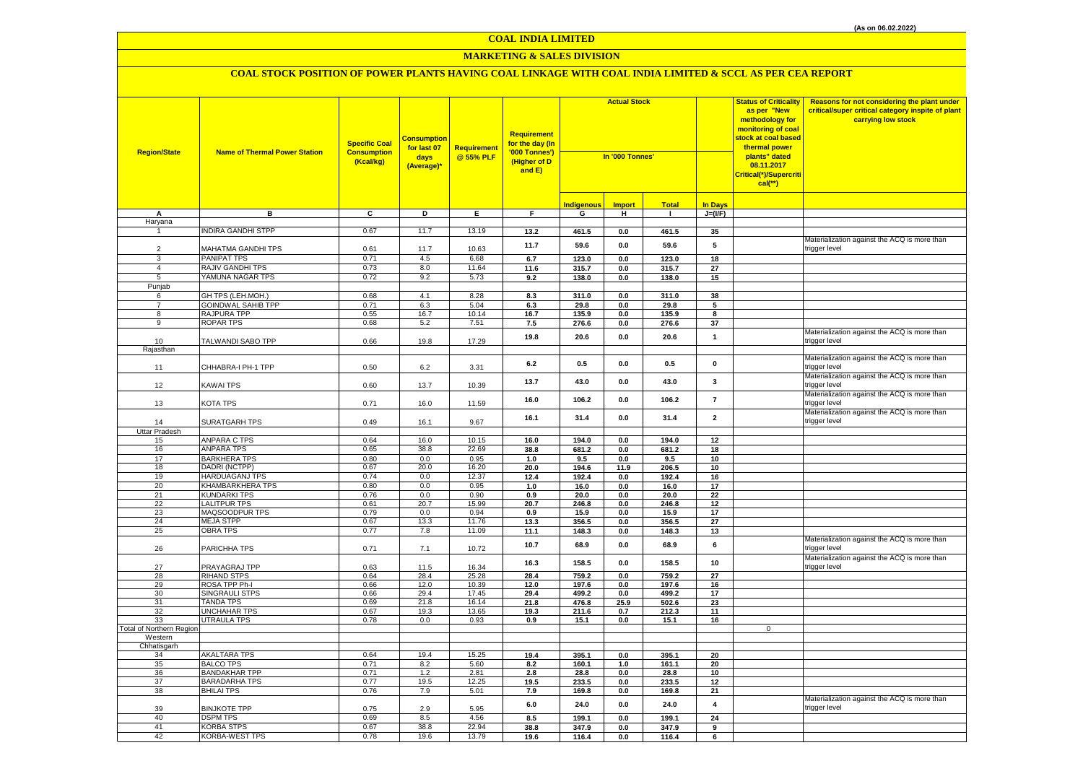## **MARKETING & SALES DIVISION**

| <b>Region/State</b>             | <b>Name of Thermal Power Station</b>      | <b>Specific Coal</b><br><b>Consumption</b><br>(Kcal/kg) | <b>Consumption</b><br>for last 07<br>days<br>(Average)* | Requirement<br>@ 55% PLF | Requirement<br>for the day (In<br>'000 Tonnes')<br>(Higher of D<br>and E) | <b>Actual Stock</b><br>In '000 Tonnes' |               |                |                         | <b>Status of Criticality</b><br>as per "New<br>methodology for<br>monitoring of coal<br><mark>stock at coal based</mark><br>thermal power<br>plants" dated<br>08.11.2017<br><mark>Critical(*)/Supercrit</mark> i<br>$cal$ (**) | Reasons for not considering the plant under<br>critical/super critical category inspite of plant<br>carrying low stock |
|---------------------------------|-------------------------------------------|---------------------------------------------------------|---------------------------------------------------------|--------------------------|---------------------------------------------------------------------------|----------------------------------------|---------------|----------------|-------------------------|--------------------------------------------------------------------------------------------------------------------------------------------------------------------------------------------------------------------------------|------------------------------------------------------------------------------------------------------------------------|
|                                 |                                           |                                                         |                                                         |                          |                                                                           | <b>Indigenous</b>                      | <b>Import</b> | <b>Total</b>   | <b>In Days</b>          |                                                                                                                                                                                                                                |                                                                                                                        |
| Α                               | в                                         | C                                                       | D                                                       | E.                       | F.                                                                        | G                                      | н             | $\blacksquare$ | $J=(VF)$                |                                                                                                                                                                                                                                |                                                                                                                        |
| Haryana                         |                                           |                                                         |                                                         |                          |                                                                           |                                        |               |                |                         |                                                                                                                                                                                                                                |                                                                                                                        |
| $\mathbf{1}$                    | <b>NDIRA GANDHI STPP</b>                  | 0.67                                                    | 11.7                                                    | 13.19                    | 13.2                                                                      | 461.5                                  | $0.0\,$       | 461.5          | 35                      |                                                                                                                                                                                                                                |                                                                                                                        |
| $\overline{2}$                  |                                           | 0.61                                                    |                                                         | 10.63                    | 11.7                                                                      | 59.6                                   | 0.0           | 59.6           | 5                       |                                                                                                                                                                                                                                | Materialization against the ACQ is more than<br>trigger level                                                          |
| 3                               | MAHATMA GANDHI TPS<br>PANIPAT TPS         | 0.71                                                    | 11.7<br>4.5                                             | 6.68                     | 6.7                                                                       | 123.0                                  | 0.0           | 123.0          | 18                      |                                                                                                                                                                                                                                |                                                                                                                        |
| $\overline{4}$                  | RAJIV GANDHI TPS                          | 0.73                                                    | 8.0                                                     | 11.64                    | 11.6                                                                      | 315.7                                  | 0.0           | 315.7          | 27                      |                                                                                                                                                                                                                                |                                                                                                                        |
| 5                               | YAMUNA NAGAR TPS                          | 0.72                                                    | 9.2                                                     | 5.73                     | 9.2                                                                       | 138.0                                  | 0.0           | 138.0          | 15                      |                                                                                                                                                                                                                                |                                                                                                                        |
| Punjab                          |                                           |                                                         |                                                         |                          |                                                                           |                                        |               |                |                         |                                                                                                                                                                                                                                |                                                                                                                        |
| 6                               | GH TPS (LEH.MOH.)                         | 0.68                                                    | 4.1                                                     | 8.28                     | 8.3                                                                       | 311.0                                  | 0.0           | 311.0          | 38                      |                                                                                                                                                                                                                                |                                                                                                                        |
| $\overline{7}$                  | <b>GOINDWAL SAHIB TPP</b>                 | 0.71                                                    | 6.3                                                     | 5.04                     | 6.3                                                                       | 29.8                                   | $0.0\,$       | 29.8           | 5                       |                                                                                                                                                                                                                                |                                                                                                                        |
| 8                               | <b>RAJPURA TPP</b>                        | 0.55                                                    | 16.7                                                    | 10.14                    | 16.7                                                                      | 135.9                                  | 0.0           | 135.9          | 8                       |                                                                                                                                                                                                                                |                                                                                                                        |
| 9                               | <b>ROPAR TPS</b>                          | 0.68                                                    | 5.2                                                     | 7.51                     | 7.5                                                                       | 276.6                                  | 0.0           | 276.6          | 37                      |                                                                                                                                                                                                                                |                                                                                                                        |
|                                 |                                           |                                                         |                                                         |                          | 19.8                                                                      | 20.6                                   | 0.0           | 20.6           | $\mathbf{1}$            |                                                                                                                                                                                                                                | Materialization against the ACQ is more than                                                                           |
| 10                              | TALWANDI SABO TPP                         | 0.66                                                    | 19.8                                                    | 17.29                    |                                                                           |                                        |               |                |                         |                                                                                                                                                                                                                                | trigger level                                                                                                          |
| Rajasthan                       |                                           |                                                         |                                                         |                          |                                                                           |                                        |               |                |                         |                                                                                                                                                                                                                                | Materialization against the ACQ is more than                                                                           |
| 11                              | CHHABRA-I PH-1 TPP                        | 0.50                                                    | 6.2                                                     | 3.31                     | 6.2                                                                       | 0.5                                    | 0.0           | 0.5            | $\mathbf 0$             |                                                                                                                                                                                                                                | trigger level                                                                                                          |
|                                 |                                           |                                                         |                                                         |                          |                                                                           |                                        |               |                |                         |                                                                                                                                                                                                                                | Materialization against the ACQ is more than                                                                           |
| 12                              | KAWAI TPS                                 | 0.60                                                    | 13.7                                                    | 10.39                    | 13.7                                                                      | 43.0                                   | $0.0\,$       | 43.0           | 3                       |                                                                                                                                                                                                                                | trigger level                                                                                                          |
|                                 |                                           |                                                         |                                                         |                          |                                                                           |                                        |               |                |                         |                                                                                                                                                                                                                                | Materialization against the ACQ is more than                                                                           |
| 13                              | KOTA TPS                                  | 0.71                                                    | 16.0                                                    | 11.59                    | 16.0                                                                      | 106.2                                  | $0.0\,$       | 106.2          | $\overline{7}$          |                                                                                                                                                                                                                                | rigger level                                                                                                           |
|                                 |                                           |                                                         |                                                         |                          | 16.1                                                                      | 31.4                                   | 0.0           |                |                         |                                                                                                                                                                                                                                | Materialization against the ACQ is more than                                                                           |
| 14                              | SURATGARH TPS                             | 0.49                                                    | 16.1                                                    | 9.67                     |                                                                           |                                        |               | 31.4           | $\overline{\mathbf{2}}$ |                                                                                                                                                                                                                                | rigger level                                                                                                           |
| Uttar Pradesh                   |                                           |                                                         |                                                         |                          |                                                                           |                                        |               |                |                         |                                                                                                                                                                                                                                |                                                                                                                        |
| 15                              | <b>ANPARA C TPS</b>                       | 0.64                                                    | 16.0                                                    | 10.15                    | 16.0                                                                      | 194.0                                  | 0.0           | 194.0          | 12                      |                                                                                                                                                                                                                                |                                                                                                                        |
| 16<br>17                        | <b>ANPARA TPS</b><br><b>BARKHERA TPS</b>  | 0.65<br>0.80                                            | 38.8<br>0.0                                             | 22.69<br>0.95            | 38.8<br>1.0                                                               | 681.2<br>9.5                           | 0.0<br>0.0    | 681.2<br>9.5   | 18<br>10                |                                                                                                                                                                                                                                |                                                                                                                        |
| 18                              | DADRI (NCTPP)                             | 0.67                                                    | 20.0                                                    | 16.20                    | 20.0                                                                      | 194.6                                  | 11.9          | 206.5          | 10                      |                                                                                                                                                                                                                                |                                                                                                                        |
| 19                              | HARDUAGANJ TPS                            | 0.74                                                    | 0.0                                                     | 12.37                    | 12.4                                                                      | 192.4                                  | $0.0\,$       | 192.4          | 16                      |                                                                                                                                                                                                                                |                                                                                                                        |
| 20                              | KHAMBARKHERA TPS                          | 0.80                                                    | 0.0                                                     | 0.95                     | $1.0$                                                                     | 16.0                                   | 0.0           | 16.0           | 17                      |                                                                                                                                                                                                                                |                                                                                                                        |
| 21                              | <b>KUNDARKI TPS</b>                       | 0.76                                                    | 0.0                                                     | 0.90                     | 0.9                                                                       | 20.0                                   | 0.0           | 20.0           | 22                      |                                                                                                                                                                                                                                |                                                                                                                        |
| 22                              | <b>LALITPUR TPS</b>                       | 0.61                                                    | 20.7                                                    | 15.99                    | 20.7                                                                      | 246.8                                  | 0.0           | 246.8          | 12                      |                                                                                                                                                                                                                                |                                                                                                                        |
| 23                              | MAQSOODPUR TPS                            | 0.79                                                    | 0.0                                                     | 0.94                     | 0.9                                                                       | 15.9                                   | 0.0           | 15.9           | 17                      |                                                                                                                                                                                                                                |                                                                                                                        |
| 24                              | <b>MEJA STPP</b>                          | 0.67                                                    | 13.3                                                    | 11.76                    | 13.3                                                                      | 356.5                                  | 0.0           | 356.5          | 27                      |                                                                                                                                                                                                                                |                                                                                                                        |
| 25                              | <b>OBRA TPS</b>                           | 0.77                                                    | 7.8                                                     | 11.09                    | 11.1                                                                      | 148.3                                  | 0.0           | 148.3          | 13                      |                                                                                                                                                                                                                                | Materialization against the ACQ is more than                                                                           |
| 26                              |                                           | 0.71                                                    | 7.1                                                     | 10.72                    | 10.7                                                                      | 68.9                                   | 0.0           | 68.9           | 6                       |                                                                                                                                                                                                                                | rigger level                                                                                                           |
|                                 | PARICHHA TPS                              |                                                         |                                                         |                          |                                                                           |                                        |               |                |                         |                                                                                                                                                                                                                                | Materialization against the ACQ is more than                                                                           |
| 27                              | PRAYAGRAJ TPP                             | 0.63                                                    | 11.5                                                    | 16.34                    | 16.3                                                                      | 158.5                                  | $0.0\,$       | 158.5          | 10                      |                                                                                                                                                                                                                                | rigger level                                                                                                           |
| 28                              | <b>RIHAND STPS</b>                        | 0.64                                                    | 28.4                                                    | 25.28                    | 28.4                                                                      | 759.2                                  | 0.0           | 759.2          | 27                      |                                                                                                                                                                                                                                |                                                                                                                        |
| 29                              | ROSA TPP Ph-I                             | 0.66                                                    | 12.0                                                    | 10.39                    | 12.0                                                                      | 197.6                                  | $0.0\,$       | 197.6          | 16                      |                                                                                                                                                                                                                                |                                                                                                                        |
| 30                              | SINGRAULI STPS                            | 0.66                                                    | 29.4                                                    | 17.45                    | 29.4                                                                      | 499.2                                  | 0.0           | 499.2          | 17                      |                                                                                                                                                                                                                                |                                                                                                                        |
| 31                              | <b>TANDA TPS</b>                          | 0.69                                                    | 21.8                                                    | 16.14                    | 21.8                                                                      | 476.8                                  | 25.9          | 502.6          | 23                      |                                                                                                                                                                                                                                |                                                                                                                        |
| 32<br>33                        | <b>UNCHAHAR TPS</b><br><b>UTRAULA TPS</b> | 0.67<br>0.78                                            | 19.3<br>0.0                                             | 13.65<br>0.93            | 19.3<br>0.9                                                               | 211.6<br>15.1                          | 0.7<br>0.0    | 212.3<br>15.1  | 11<br>16                |                                                                                                                                                                                                                                |                                                                                                                        |
| <b>Total of Northern Region</b> |                                           |                                                         |                                                         |                          |                                                                           |                                        |               |                |                         | $\mathbf 0$                                                                                                                                                                                                                    |                                                                                                                        |
| Western                         |                                           |                                                         |                                                         |                          |                                                                           |                                        |               |                |                         |                                                                                                                                                                                                                                |                                                                                                                        |
| Chhatisgarh                     |                                           |                                                         |                                                         |                          |                                                                           |                                        |               |                |                         |                                                                                                                                                                                                                                |                                                                                                                        |
| 34                              | <b>AKALTARA TPS</b>                       | 0.64                                                    | 19.4                                                    | 15.25                    | 19.4                                                                      | 395.1                                  | 0.0           | 395.1          | 20                      |                                                                                                                                                                                                                                |                                                                                                                        |
| 35                              | <b>BALCO TPS</b>                          | 0.71                                                    | 8.2                                                     | 5.60                     | 8.2                                                                       | 160.1                                  | $1.0$         | 161.1          | 20                      |                                                                                                                                                                                                                                |                                                                                                                        |
| 36                              | <b>BANDAKHAR TPP</b>                      | 0.71                                                    | 1.2                                                     | 2.81                     | $2.8$                                                                     | 28.8                                   | 0.0           | 28.8           | 10                      |                                                                                                                                                                                                                                |                                                                                                                        |
| 37<br>38                        | <b>BARADARHA TPS</b><br><b>BHILAI TPS</b> | 0.77<br>0.76                                            | 19.5<br>7.9                                             | 12.25<br>5.01            | 19.5                                                                      | 233.5                                  | 0.0           | 233.5          | 12                      |                                                                                                                                                                                                                                |                                                                                                                        |
|                                 |                                           |                                                         |                                                         |                          | 7.9                                                                       | 169.8                                  | 0.0           | 169.8          | 21                      |                                                                                                                                                                                                                                | Materialization against the ACQ is more than                                                                           |
| 39                              | <b>BINJKOTE TPP</b>                       | 0.75                                                    | 2.9                                                     | 5.95                     | $6.0\,$                                                                   | 24.0                                   | $0.0\,$       | 24.0           | $\overline{4}$          |                                                                                                                                                                                                                                | rigger level                                                                                                           |
| 40                              | <b>DSPM TPS</b>                           | 0.69                                                    | 8.5                                                     | 4.56                     | 8.5                                                                       | 199.1                                  | 0.0           | 199.1          | 24                      |                                                                                                                                                                                                                                |                                                                                                                        |
| 41                              | <b>KORBA STPS</b>                         | 0.67                                                    | 38.8                                                    | 22.94                    | 38.8                                                                      | 347.9                                  | 0.0           | 347.9          | 9                       |                                                                                                                                                                                                                                |                                                                                                                        |
| 42                              | KORBA-WEST TPS                            | 0.78                                                    | 19.6                                                    | 13.79                    | 19.6                                                                      | 116.4                                  | 0.0           | 116.4          | 6                       |                                                                                                                                                                                                                                |                                                                                                                        |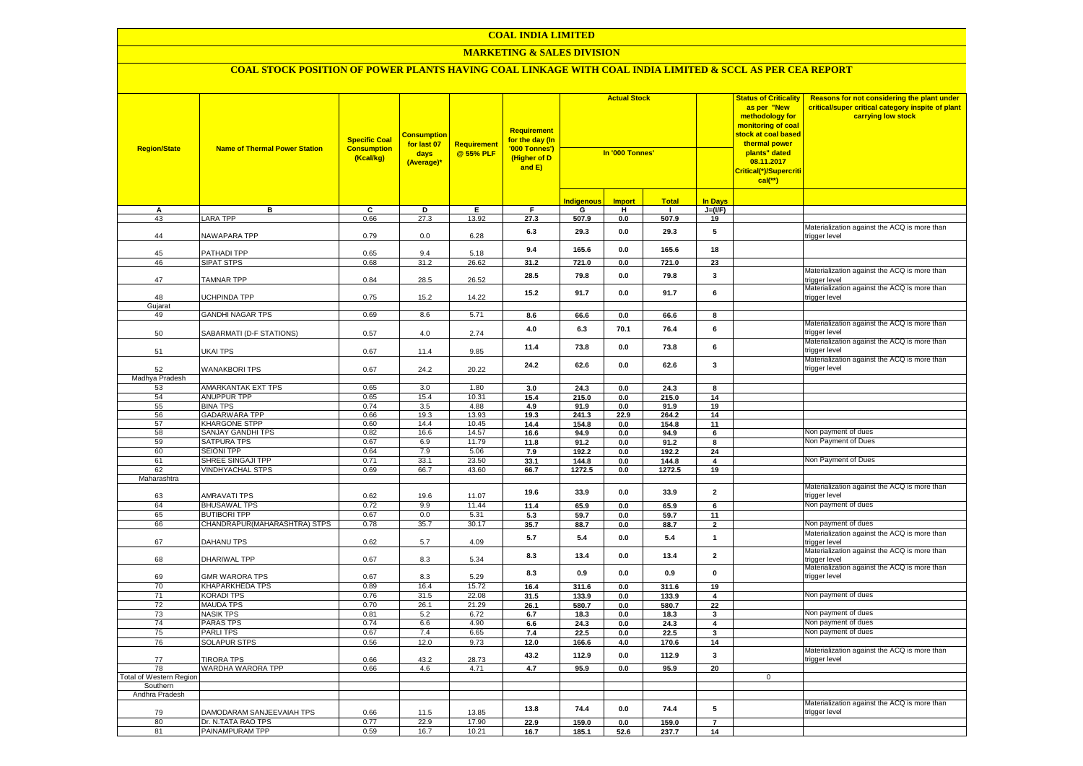## **MARKETING & SALES DIVISION**

| <b>Region/State</b>            | <b>Name of Thermal Power Station</b>     | <b>Specific Coal</b><br><b>Consumption</b><br>(Kcal/kg) | <b>Consumption</b><br>for last 07<br>days<br>(Average)* | <b>Requirement</b><br>for the day (In<br><b>Requirement</b><br>'000 Tonnes')<br>@ 55% PLF<br>(Higher of D<br>and E) |              | <b>Actual Stock</b><br>In '000 Tonnes' |               |                |                         |              |                                                               |  |  | <b>Status of Criticality</b><br>as per "New<br>methodology for<br>monitoring of coal<br><mark>stock at coal based</mark><br>thermal power<br>plants" dated<br>08.11.2017<br>Critical(*)/Supercriti<br>$cal(**)$ | Reasons for not considering the plant under<br>critical/super critical category inspite of plant<br>carrying low stock |
|--------------------------------|------------------------------------------|---------------------------------------------------------|---------------------------------------------------------|---------------------------------------------------------------------------------------------------------------------|--------------|----------------------------------------|---------------|----------------|-------------------------|--------------|---------------------------------------------------------------|--|--|-----------------------------------------------------------------------------------------------------------------------------------------------------------------------------------------------------------------|------------------------------------------------------------------------------------------------------------------------|
|                                |                                          |                                                         |                                                         |                                                                                                                     |              | <b>Indigenous</b>                      | <b>Import</b> | <b>Total</b>   | <b>In Days</b>          |              |                                                               |  |  |                                                                                                                                                                                                                 |                                                                                                                        |
| A                              | в                                        | C                                                       | D                                                       | Е.                                                                                                                  | F            | G                                      | н             | - 1            | $J=(VF)$                |              |                                                               |  |  |                                                                                                                                                                                                                 |                                                                                                                        |
| 43                             | <b>ARA TPP</b>                           | 0.66                                                    | 27.3                                                    | 13.92                                                                                                               | 27.3         | 507.9                                  | 0.0           | 507.9          | 19                      |              |                                                               |  |  |                                                                                                                                                                                                                 |                                                                                                                        |
| 44                             | <b>VAWAPARA TPP</b>                      | 0.79                                                    | 0.0                                                     | 6.28                                                                                                                | 6.3          | 29.3                                   | 0.0           | 29.3           | 5                       |              | Materialization against the ACQ is more than<br>rigger level  |  |  |                                                                                                                                                                                                                 |                                                                                                                        |
| 45                             | PATHADI TPP                              | 0.65                                                    | 9.4                                                     | 5.18                                                                                                                | 9.4          | 165.6                                  | 0.0           | 165.6          | 18                      |              |                                                               |  |  |                                                                                                                                                                                                                 |                                                                                                                        |
| 46                             | <b>SIPAT STPS</b>                        | 0.68                                                    | 31.2                                                    | 26.62                                                                                                               | 31.2         | 721.0                                  | $0.0\,$       | 721.0          | 23                      |              |                                                               |  |  |                                                                                                                                                                                                                 |                                                                                                                        |
| 47                             | <b>TAMNAR TPP</b>                        | 0.84                                                    | 28.5                                                    | 26.52                                                                                                               | 28.5         | 79.8                                   | 0.0           | 79.8           | 3                       |              | Materialization against the ACQ is more than<br>trigger level |  |  |                                                                                                                                                                                                                 |                                                                                                                        |
| 48                             | <b>ICHPINDA TPP</b>                      | 0.75                                                    | 15.2                                                    | 14.22                                                                                                               | 15.2         | 91.7                                   | 0.0           | 91.7           | 6                       |              | Materialization against the ACQ is more than<br>trigger level |  |  |                                                                                                                                                                                                                 |                                                                                                                        |
| Gujarat<br>49                  | GANDHI NAGAR TPS                         | 0.69                                                    | 8.6                                                     |                                                                                                                     |              |                                        |               |                |                         |              |                                                               |  |  |                                                                                                                                                                                                                 |                                                                                                                        |
|                                |                                          |                                                         |                                                         | 5.71                                                                                                                | 8.6<br>4.0   | 66.6<br>6.3                            | 0.0<br>70.1   | 66.6<br>76.4   | 8<br>6                  |              | Materialization against the ACQ is more than<br>rigger level  |  |  |                                                                                                                                                                                                                 |                                                                                                                        |
| 50                             | SABARMATI (D-F STATIONS)                 | 0.57                                                    | 4.0                                                     | 2.74                                                                                                                | 11.4         | 73.8                                   | 0.0           | 73.8           | 6                       |              | Materialization against the ACQ is more than<br>trigger level |  |  |                                                                                                                                                                                                                 |                                                                                                                        |
| 51                             | UKAI TPS                                 | 0.67                                                    | 11.4                                                    | 9.85                                                                                                                | 24.2         | 62.6                                   | 0.0           | 62.6           | 3                       |              | Materialization against the ACQ is more than                  |  |  |                                                                                                                                                                                                                 |                                                                                                                        |
| 52<br>Madhya Pradesh           | <b>WANAKBORI TPS</b>                     | 0.67                                                    | 24.2                                                    | 20.22                                                                                                               |              |                                        |               |                |                         |              | rigger level:                                                 |  |  |                                                                                                                                                                                                                 |                                                                                                                        |
| 53                             | AMARKANTAK EXT TPS                       | 0.65                                                    | 3.0                                                     | 1.80                                                                                                                | 3.0          | 24.3                                   | 0.0           | 24.3           | 8                       |              |                                                               |  |  |                                                                                                                                                                                                                 |                                                                                                                        |
| 54                             | <b>ANUPPUR TPP</b>                       | 0.65                                                    | 15.4                                                    | 10.31                                                                                                               | 15.4         | 215.0                                  | 0.0           | 215.0          | 14                      |              |                                                               |  |  |                                                                                                                                                                                                                 |                                                                                                                        |
| 55                             | <b>BINA TPS</b>                          | 0.74                                                    | 3.5                                                     | 4.88                                                                                                                | 4.9          | 91.9                                   | 0.0           | 91.9           | 19                      |              |                                                               |  |  |                                                                                                                                                                                                                 |                                                                                                                        |
| 56                             | <b>GADARWARA TPP</b>                     | 0.66                                                    | 19.3                                                    | 13.93                                                                                                               | 19.3         | 241.3                                  | 22.9          | 264.2          | 14                      |              |                                                               |  |  |                                                                                                                                                                                                                 |                                                                                                                        |
| 57                             | KHARGONE STPP                            | 0.60                                                    | 14.4                                                    | 10.45                                                                                                               | 14.4         | 154.8                                  | $0.0\,$       | 154.8          | 11                      |              |                                                               |  |  |                                                                                                                                                                                                                 |                                                                                                                        |
| 58                             | SANJAY GANDHI TPS                        | 0.82                                                    | 16.6                                                    | 14.57                                                                                                               | 16.6         | 94.9                                   | $0.0\,$       | 94.9           | $\bf{6}$                |              | Non payment of dues                                           |  |  |                                                                                                                                                                                                                 |                                                                                                                        |
| 59                             | <b>SATPURA TPS</b>                       | 0.67                                                    | 6.9                                                     | 11.79                                                                                                               | 11.8         | 91.2                                   | 0.0           | 91.2           | 8                       |              | Non Payment of Dues                                           |  |  |                                                                                                                                                                                                                 |                                                                                                                        |
| 60                             | <b>SEIONI TPP</b>                        | 0.64                                                    | 7.9                                                     | 5.06                                                                                                                | 7.9          | 192.2                                  | 0.0           | 192.2          | 24                      |              |                                                               |  |  |                                                                                                                                                                                                                 |                                                                                                                        |
| 61                             | SHREE SINGAJI TPP                        | 0.71                                                    | 33.1                                                    | 23.50                                                                                                               | 33.1         | 144.8                                  | $0.0\,$       | 144.8          | 4                       |              | Non Payment of Dues                                           |  |  |                                                                                                                                                                                                                 |                                                                                                                        |
| 62<br>Maharashtra              | <b>VINDHYACHAL STPS</b>                  | 0.69                                                    | 66.7                                                    | 43.60                                                                                                               | 66.7         | 1272.5                                 | 0.0           | 1272.5         | 19                      |              |                                                               |  |  |                                                                                                                                                                                                                 |                                                                                                                        |
|                                |                                          |                                                         |                                                         |                                                                                                                     | 19.6         | 33.9                                   | 0.0           | 33.9           | $\overline{2}$          |              | Materialization against the ACQ is more than<br>trigger level |  |  |                                                                                                                                                                                                                 |                                                                                                                        |
| 63<br>64                       | AMRAVATI TPS<br><b>BHUSAWAL TPS</b>      | 0.62<br>0.72                                            | 19.6<br>9.9                                             | 11.07<br>11.44                                                                                                      | 11.4         | 65.9                                   | $0.0\,$       | 65.9           | 6                       |              | Non payment of dues                                           |  |  |                                                                                                                                                                                                                 |                                                                                                                        |
| 65                             | <b>BUTIBORI TPP</b>                      | 0.67                                                    | 0.0                                                     | 5.31                                                                                                                | 5.3          | 59.7                                   | 0.0           | 59.7           | 11                      |              |                                                               |  |  |                                                                                                                                                                                                                 |                                                                                                                        |
| 66                             | CHANDRAPUR(MAHARASHTRA) STPS             | 0.78                                                    | 35.7                                                    | 30.17                                                                                                               | 35.7         | 88.7                                   | 0.0           | 88.7           | $\overline{2}$          |              | Non payment of dues                                           |  |  |                                                                                                                                                                                                                 |                                                                                                                        |
| 67                             | DAHANU TPS                               | 0.62                                                    | 5.7                                                     | 4.09                                                                                                                | 5.7          | 5.4                                    | 0.0           | 5.4            | $\mathbf{1}$            |              | Materialization against the ACQ is more than<br>rigger level  |  |  |                                                                                                                                                                                                                 |                                                                                                                        |
| 68                             | DHARIWAL TPP                             | 0.67                                                    | 8.3                                                     | 5.34                                                                                                                | 8.3          | 13.4                                   | 0.0           | 13.4           | $\overline{\mathbf{2}}$ |              | Materialization against the ACQ is more than<br>trigger level |  |  |                                                                                                                                                                                                                 |                                                                                                                        |
| 69                             | <b>GMR WARORA TPS</b>                    | 0.67                                                    | 8.3                                                     | 5.29                                                                                                                | 8.3          | 0.9                                    | 0.0           | 0.9            | 0                       |              | Materialization against the ACQ is more than<br>rigger level  |  |  |                                                                                                                                                                                                                 |                                                                                                                        |
| 70                             | KHAPARKHEDA TPS                          | 0.89                                                    | 16.4                                                    | 15.72                                                                                                               | 16.4         | 311.6                                  | 0.0           | 311.6          | 19                      |              |                                                               |  |  |                                                                                                                                                                                                                 |                                                                                                                        |
| 71                             | <b>KORADI TPS</b>                        | 0.76                                                    | 31.5                                                    | 22.08                                                                                                               | 31.5         | 133.9                                  | 0.0           | 133.9          | 4                       |              | Non payment of dues                                           |  |  |                                                                                                                                                                                                                 |                                                                                                                        |
| 72                             | <b>MAUDA TPS</b>                         | 0.70                                                    | 26.1                                                    | 21.29                                                                                                               | 26.1         | 580.7                                  | 0.0           | 580.7          | 22                      |              |                                                               |  |  |                                                                                                                                                                                                                 |                                                                                                                        |
| 73                             | <b>NASIK TPS</b>                         | 0.81                                                    | 5.2                                                     | 6.72                                                                                                                | 6.7          | 18.3                                   | 0.0           | 18.3           | $\overline{\mathbf{3}}$ |              | Non payment of dues                                           |  |  |                                                                                                                                                                                                                 |                                                                                                                        |
| 74                             | PARAS TPS                                | 0.74                                                    | 6.6                                                     | 4.90                                                                                                                | 6.6          | 24.3                                   | 0.0           | 24.3           | 4                       |              | Non payment of dues                                           |  |  |                                                                                                                                                                                                                 |                                                                                                                        |
| 75                             | <b>PARLITPS</b>                          | 0.67                                                    | 7.4                                                     | 6.65                                                                                                                | 7.4          | 22.5                                   | 0.0           | 22.5           | 3                       |              | Non payment of dues                                           |  |  |                                                                                                                                                                                                                 |                                                                                                                        |
| 76<br>77                       | <b>SOLAPUR STPS</b><br><b>TIRORA TPS</b> | 0.56                                                    | 12.0<br>43.2                                            | 9.73<br>28.73                                                                                                       | 12.0<br>43.2 | 166.6<br>112.9                         | 4.0<br>0.0    | 170.6<br>112.9 | 14<br>3                 |              | Materialization against the ACQ is more than                  |  |  |                                                                                                                                                                                                                 |                                                                                                                        |
| 78                             | WARDHA WARORA TPP                        | 0.66<br>0.66                                            | 4.6                                                     | 4.71                                                                                                                | 4.7          | 95.9                                   | 0.0           | 95.9           | 20                      |              | trigger level                                                 |  |  |                                                                                                                                                                                                                 |                                                                                                                        |
| <b>Total of Western Region</b> |                                          |                                                         |                                                         |                                                                                                                     |              |                                        |               |                |                         | $\mathbf{0}$ |                                                               |  |  |                                                                                                                                                                                                                 |                                                                                                                        |
| Southern                       |                                          |                                                         |                                                         |                                                                                                                     |              |                                        |               |                |                         |              |                                                               |  |  |                                                                                                                                                                                                                 |                                                                                                                        |
| Andhra Pradesh                 |                                          |                                                         |                                                         |                                                                                                                     |              |                                        |               |                |                         |              |                                                               |  |  |                                                                                                                                                                                                                 |                                                                                                                        |
| 79                             | DAMODARAM SANJEEVAIAH TPS                | 0.66                                                    | 11.5                                                    | 13.85                                                                                                               | 13.8         | 74.4                                   | 0.0           | 74.4           | 5                       |              | Materialization against the ACQ is more than<br>rigger level  |  |  |                                                                                                                                                                                                                 |                                                                                                                        |
| 80                             | Dr. N.TATA RAO TPS                       | 0.77                                                    | 22.9                                                    | 17.90                                                                                                               | 22.9         | 159.0                                  | 0.0           | 159.0          | $\overline{7}$          |              |                                                               |  |  |                                                                                                                                                                                                                 |                                                                                                                        |
| 81                             | PAINAMPURAM TPP                          | 0.59                                                    | 16.7                                                    | 10.21                                                                                                               | 16.7         | 185.1                                  | 52.6          | 237.7          | 14                      |              |                                                               |  |  |                                                                                                                                                                                                                 |                                                                                                                        |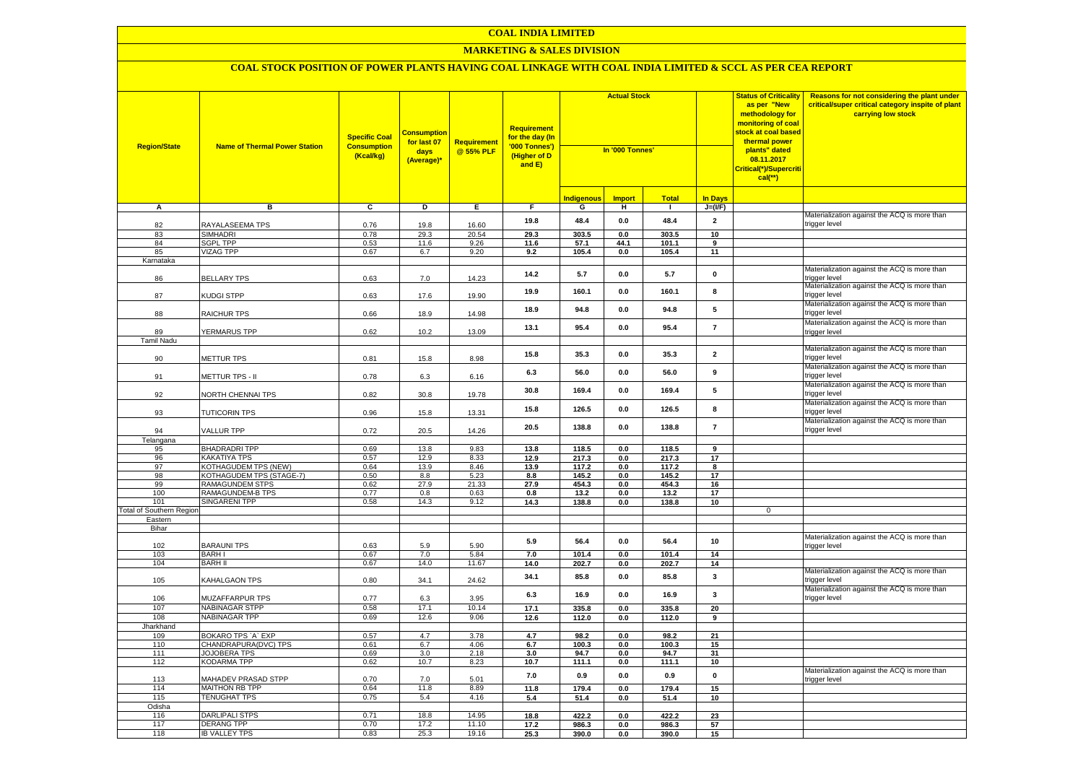## **MARKETING & SALES DIVISION**

| <b>Region/State</b>                 | <b>Name of Thermal Power Station</b>                | <b>Specific Coal</b><br><b>Consumption</b><br>(Kcal/kg) | <b>Consumption</b><br>for last 07<br>days<br>(Average)* | <b>Requirement</b><br>@ 55% PLF | <b>Requirement</b><br>for the day (In<br>'000 Tonnes')<br>(Higher of D<br>and E) | <b>Actual Stock</b><br>In '000 Tonnes' |               |                |                         | <b>Status of Criticality</b><br>as per "New<br>methodology for<br>monitoring of coal<br><mark>stock at coal based</mark><br>thermal power<br>plants" dated<br>08.11.2017<br>Critical(*)/Supercriti<br>$cal$ (**) | Reasons for not considering the plant under<br>critical/super critical category inspite of plant<br>carrying low stock |
|-------------------------------------|-----------------------------------------------------|---------------------------------------------------------|---------------------------------------------------------|---------------------------------|----------------------------------------------------------------------------------|----------------------------------------|---------------|----------------|-------------------------|------------------------------------------------------------------------------------------------------------------------------------------------------------------------------------------------------------------|------------------------------------------------------------------------------------------------------------------------|
|                                     |                                                     |                                                         |                                                         |                                 |                                                                                  | <b>Indigenous</b>                      | <b>Import</b> | <b>Total</b>   | <b>In Davs</b>          |                                                                                                                                                                                                                  |                                                                                                                        |
| $\mathsf{A}$                        | в                                                   | $\overline{c}$                                          | Þ                                                       | Ε                               | F                                                                                | G                                      | н             | $\mathbf{I}$   | $J=(VF)$                |                                                                                                                                                                                                                  |                                                                                                                        |
| 82                                  | RAYALASEEMA TPS                                     | 0.76                                                    | 19.8                                                    | 16.60                           | 19.8                                                                             | 48.4                                   | 0.0           | 48.4           | $\overline{\mathbf{2}}$ |                                                                                                                                                                                                                  | Materialization against the ACQ is more than<br>trigger level                                                          |
| 83                                  | <b>SIMHADRI</b>                                     | 0.78                                                    | 29.3                                                    | 20.54                           | 29.3                                                                             | 303.5                                  | 0.0           | 303.5          | 10                      |                                                                                                                                                                                                                  |                                                                                                                        |
| 84                                  | <b>SGPL TPP</b>                                     | 0.53                                                    | 11.6                                                    | 9.26                            | 11.6                                                                             | 57.1                                   | 44.1          | 101.1          | 9                       |                                                                                                                                                                                                                  |                                                                                                                        |
| 85                                  | <b>VIZAG TPP</b>                                    | 0.67                                                    | 6.7                                                     | 9.20                            | 9.2                                                                              | 105.4                                  | 0.0           | 105.4          | 11                      |                                                                                                                                                                                                                  |                                                                                                                        |
| Karnataka<br>86                     | <b>BELLARY TPS</b>                                  | 0.63                                                    | 7.0                                                     | 14.23                           | 14.2                                                                             | 5.7                                    | 0.0           | 5.7            | $\mathbf 0$             |                                                                                                                                                                                                                  | Materialization against the ACQ is more than<br>rigger level                                                           |
| 87                                  | KUDGI STPP                                          | 0.63                                                    | 17.6                                                    | 19.90                           | 19.9                                                                             | 160.1                                  | 0.0           | 160.1          | 8                       |                                                                                                                                                                                                                  | Materialization against the ACQ is more than<br>trigger level                                                          |
| 88                                  | <b>RAICHUR TPS</b>                                  | 0.66                                                    | 18.9                                                    | 14.98                           | 18.9                                                                             | 94.8                                   | 0.0           | 94.8           | 5                       |                                                                                                                                                                                                                  | Materialization against the ACQ is more than<br>trigger level                                                          |
| 89                                  | YERMARUS TPP                                        | 0.62                                                    | 10.2                                                    | 13.09                           | 13.1                                                                             | 95.4                                   | 0.0           | 95.4           | $\overline{7}$          |                                                                                                                                                                                                                  | Materialization against the ACQ is more than<br>trigger level                                                          |
| <b>Tamil Nadu</b>                   |                                                     |                                                         |                                                         |                                 |                                                                                  |                                        |               |                |                         |                                                                                                                                                                                                                  |                                                                                                                        |
| 90                                  | METTUR TPS                                          | 0.81                                                    | 15.8                                                    | 8.98                            | 15.8                                                                             | 35.3                                   | 0.0           | 35.3           | $\overline{\mathbf{2}}$ |                                                                                                                                                                                                                  | Materialization against the ACQ is more than<br>rigger level                                                           |
| 91                                  | METTUR TPS - II                                     | 0.78                                                    | 6.3                                                     | 6.16                            | 6.3                                                                              | 56.0                                   | 0.0           | 56.0           | 9                       |                                                                                                                                                                                                                  | Materialization against the ACQ is more than<br>trigger level                                                          |
| 92                                  | NORTH CHENNAI TPS                                   | 0.82                                                    | 30.8                                                    | 19.78                           | 30.8                                                                             | 169.4                                  | 0.0           | 169.4          | ${\bf 5}$               |                                                                                                                                                                                                                  | Materialization against the ACQ is more than<br>rigger level                                                           |
| 93                                  | <b>TUTICORIN TPS</b>                                | 0.96                                                    | 15.8                                                    | 13.31                           | 15.8                                                                             | 126.5                                  | $0.0\,$       | 126.5          | 8                       |                                                                                                                                                                                                                  | Materialization against the ACQ is more than<br>trigger level                                                          |
| 94                                  | VALLUR TPP                                          | 0.72                                                    | 20.5                                                    | 14.26                           | 20.5                                                                             | 138.8                                  | 0.0           | 138.8          | $\overline{7}$          |                                                                                                                                                                                                                  | Materialization against the ACQ is more than<br>rigger level:                                                          |
| Telangana<br>95                     | <b>BHADRADRI TPP</b>                                | 0.69                                                    | 13.8                                                    | 9.83                            | 13.8                                                                             | 118.5                                  | 0.0           | 118.5          | 9                       |                                                                                                                                                                                                                  |                                                                                                                        |
| 96                                  | <b>KAKATIYA TPS</b>                                 | 0.57                                                    | 12.9                                                    | 8.33                            | 12.9                                                                             | 217.3                                  | 0.0           | 217.3          | 17                      |                                                                                                                                                                                                                  |                                                                                                                        |
| 97                                  | <b>KOTHAGUDEM TPS (NEW)</b>                         | 0.64                                                    | 13.9                                                    | 8.46                            | 13.9                                                                             | 117.2                                  | 0.0           | 117.2          | 8                       |                                                                                                                                                                                                                  |                                                                                                                        |
| 98                                  | (OTHAGUDEM TPS (STAGE-7)                            | 0.50                                                    | 8.8                                                     | 5.23                            | 8.8                                                                              | 145.2                                  | 0.0           | 145.2          | 17                      |                                                                                                                                                                                                                  |                                                                                                                        |
| 99                                  | RAMAGUNDEM STPS                                     | 0.62                                                    | 27.9                                                    | 21.33                           | 27.9                                                                             | 454.3                                  | 0.0           | 454.3          | 16                      |                                                                                                                                                                                                                  |                                                                                                                        |
| 100                                 | RAMAGUNDEM-B TPS                                    | 0.77                                                    | $0.8\,$                                                 | 0.63                            | 0.8                                                                              | 13.2                                   | 0.0           | 13.2           | 17                      |                                                                                                                                                                                                                  |                                                                                                                        |
| 101                                 | SINGARENI TPP                                       | 0.58                                                    | 14.3                                                    | 9.12                            | 14.3                                                                             | 138.8                                  | 0.0           | 138.8          | 10                      |                                                                                                                                                                                                                  |                                                                                                                        |
| Total of Southern Region<br>Eastern |                                                     |                                                         |                                                         |                                 |                                                                                  |                                        |               |                |                         | $\overline{0}$                                                                                                                                                                                                   |                                                                                                                        |
| Bihar                               |                                                     |                                                         |                                                         |                                 |                                                                                  |                                        |               |                |                         |                                                                                                                                                                                                                  |                                                                                                                        |
| 102                                 | <b>BARAUNI TPS</b>                                  | 0.63                                                    | 5.9                                                     | 5.90                            | 5.9                                                                              | 56.4                                   | 0.0           | 56.4           | 10                      |                                                                                                                                                                                                                  | Materialization against the ACQ is more than<br>trigger level                                                          |
| 103<br>104                          | <b>BARHI</b><br><b>BARH II</b>                      | 0.67<br>0.67                                            | 7.0<br>14.0                                             | 5.84<br>11.67                   | 7.0<br>14.0                                                                      | 101.4<br>202.7                         | 0.0<br>0.0    | 101.4<br>202.7 | 14<br>14                |                                                                                                                                                                                                                  |                                                                                                                        |
| 105                                 | <b>KAHALGAON TPS</b>                                | 0.80                                                    | 34.1                                                    | 24.62                           | 34.1                                                                             | 85.8                                   | 0.0           | 85.8           | 3                       |                                                                                                                                                                                                                  | Materialization against the ACQ is more than<br>trigger level                                                          |
| 106                                 | <b>MUZAFFARPUR TPS</b>                              | 0.77                                                    | 6.3                                                     | 3.95                            | 6.3                                                                              | 16.9                                   | 0.0           | 16.9           | 3                       |                                                                                                                                                                                                                  | Materialization against the ACQ is more than<br>trigger level                                                          |
| 107                                 | NABINAGAR STPP                                      | 0.58                                                    | 17.1                                                    | 10.14                           | 17.1                                                                             | 335.8                                  | $0.0\,$       | 335.8          | 20                      |                                                                                                                                                                                                                  |                                                                                                                        |
| 108                                 | NABINAGAR TPP                                       | 0.69                                                    | 12.6                                                    | 9.06                            | 12.6                                                                             | 112.0                                  | 0.0           | 112.0          | 9                       |                                                                                                                                                                                                                  |                                                                                                                        |
| Jharkhand                           |                                                     |                                                         |                                                         |                                 |                                                                                  |                                        |               |                |                         |                                                                                                                                                                                                                  |                                                                                                                        |
| 109<br>110                          | BOKARO TPS `A` EXP<br>CHANDRAPURA(DVC) TPS          | 0.57<br>0.61                                            | 4.7<br>6.7                                              | 3.78<br>4.06                    | 4.7<br>6.7                                                                       | 98.2<br>100.3                          | 0.0<br>0.0    | 98.2<br>100.3  | 21<br>15                |                                                                                                                                                                                                                  |                                                                                                                        |
| 111                                 | <b>JOJOBERA TPS</b>                                 | 0.69                                                    | 3.0                                                     | 2.18                            | 3.0                                                                              | 94.7                                   | 0.0           | 94.7           | 31                      |                                                                                                                                                                                                                  |                                                                                                                        |
| 112                                 | <b>KODARMA TPP</b>                                  | 0.62                                                    | 10.7                                                    | 8.23                            | 10.7                                                                             | 111.1                                  | $0.0\,$       | 111.1          | 10                      |                                                                                                                                                                                                                  | Materialization against the ACQ is more than                                                                           |
| 113<br>114                          | <b>MAHADEV PRASAD STPP</b><br><b>MAITHON RB TPP</b> | 0.70<br>0.64                                            | 7.0<br>11.8                                             | 5.01<br>8.89                    | 7.0<br>11.8                                                                      | 0.9<br>179.4                           | 0.0<br>0.0    | 0.9<br>179.4   | $\mathbf{0}$<br>15      |                                                                                                                                                                                                                  | trigger level                                                                                                          |
| 115                                 | <b>TENUGHAT TPS</b>                                 | 0.75                                                    | 5.4                                                     | 4.16                            | 5.4                                                                              | 51.4                                   | 0.0           | 51.4           | 10                      |                                                                                                                                                                                                                  |                                                                                                                        |
| Odisha                              |                                                     |                                                         |                                                         |                                 |                                                                                  |                                        |               |                |                         |                                                                                                                                                                                                                  |                                                                                                                        |
| 116                                 | DARLIPALI STPS                                      | 0.71                                                    | 18.8                                                    | 14.95                           | 18.8                                                                             | 422.2                                  | 0.0           | 422.2          | 23                      |                                                                                                                                                                                                                  |                                                                                                                        |
| 117                                 | <b>DERANG TPP</b>                                   | 0.70                                                    | 17.2                                                    | 11.10                           | 17.2                                                                             | 986.3                                  | 0.0           | 986.3          | 57                      |                                                                                                                                                                                                                  |                                                                                                                        |
| 118                                 | <b>IB VALLEY TPS</b>                                | 0.83                                                    | 25.3                                                    | 19.16                           | 25.3                                                                             | 390.0                                  | 0.0           | 390.0          | 15                      |                                                                                                                                                                                                                  |                                                                                                                        |